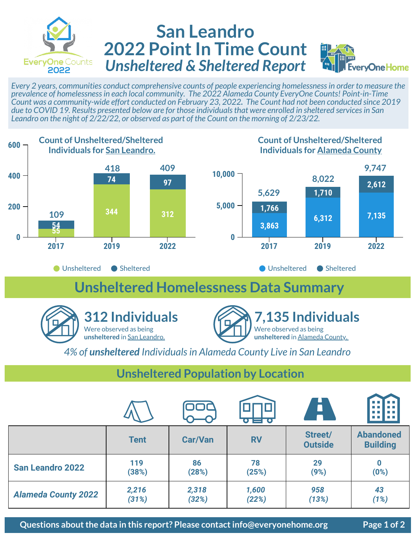

## **San Leandro 2022 Point In Time Count** *Unsheltered & Sheltered Report*



*Every 2 years, communities conduct comprehensive counts of people experiencing homelessness in order to measure the prevalence of homelessness in each local community. The 2022 Alameda County EveryOne Counts! Point-in-Time Count was a community-wide effort conducted on February 23, 2022. The Count had not been conducted since 2019 due to COVID 19. Results presented below are for those individuals that were enrolled in sheltered services in San Leandro on the night of 2/22/22, or observed as part of the Count on the morning of 2/23/22.* 



## **Unsheltered Homelessness Data Summary**





*4% of unsheltered Individuals in Alameda County Live in San Leandro*

## **Unsheltered Population by Location**

|                            |             |                | $\bullet = \bullet$ | Ä                         | <b>The Co</b><br>m m<br><b>The Co</b><br><b>The Co</b> |
|----------------------------|-------------|----------------|---------------------|---------------------------|--------------------------------------------------------|
|                            | <b>Tent</b> | <b>Car/Van</b> | <b>RV</b>           | Street/<br><b>Outside</b> | <b>Abandoned</b><br><b>Building</b>                    |
| <b>San Leandro 2022</b>    | 119         | 86             | 78                  | 29                        | $\bf{0}$                                               |
|                            | (38%)       | (28%)          | (25%)               | (9%)                      | (0%)                                                   |
| <b>Alameda County 2022</b> | 2,216       | 2,318          | 1,600               | 958                       | 43                                                     |
|                            | (31%)       | (32%)          | (22%)               | (13%)                     | (1%)                                                   |